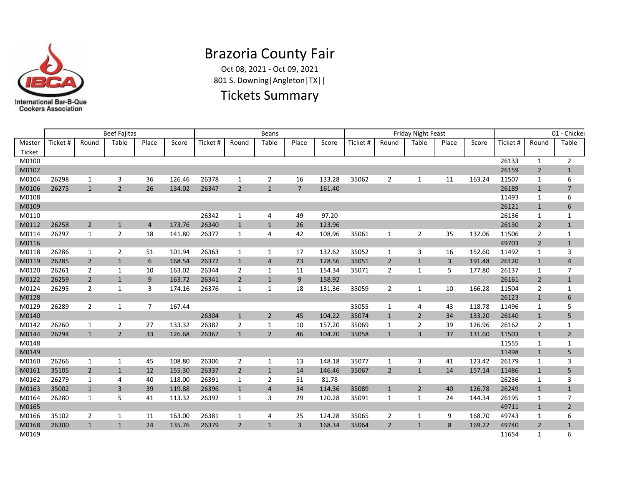

# Brazoria County Fair

Oct 08, 2021 - Oct 09, 2021 801 S. Downing|Angleton|TX||

### Tickets Summary

|        |          |                | <b>Beef Fajitas</b> |                |        |         |                | Beans          |                |        |          |                | <b>Friday Night Feast</b> |                |        |          |                | 01 - Chicker   |
|--------|----------|----------------|---------------------|----------------|--------|---------|----------------|----------------|----------------|--------|----------|----------------|---------------------------|----------------|--------|----------|----------------|----------------|
| Master | Ticket # | Round          | Table               | Place          | Score  | Ticket# | Round          | Table          | Place          | Score  | Ticket # | Round          | Table                     | Place          | Score  | Ticket # | Round          | Table          |
| Ticket |          |                |                     |                |        |         |                |                |                |        |          |                |                           |                |        |          |                |                |
| M0100  |          |                |                     |                |        |         |                |                |                |        |          |                |                           |                |        | 26133    | $\mathbf{1}$   | $\overline{2}$ |
| M0102  |          |                |                     |                |        |         |                |                |                |        |          |                |                           |                |        | 26159    | $\overline{2}$ | $\mathbf{1}$   |
| M0104  | 26298    | 1              | 3                   | 36             | 126.46 | 26378   | 1              | $\overline{2}$ | 16             | 133.28 | 35062    | $\overline{2}$ | 1                         | 11             | 163.24 | 11507    | 1              | 6              |
| M0106  | 26275    | $\mathbf{1}$   | $\overline{2}$      | 26             | 134.02 | 26347   | 2              | $\mathbf{1}$   | $\overline{7}$ | 161.40 |          |                |                           |                |        | 26189    | $\mathbf{1}$   | $\overline{7}$ |
| M0108  |          |                |                     |                |        |         |                |                |                |        |          |                |                           |                |        | 11493    | $\mathbf{1}$   | 6              |
| M0109  |          |                |                     |                |        |         |                |                |                |        |          |                |                           |                |        | 26121    | $\mathbf{1}$   | 6              |
| M0110  |          |                |                     |                |        | 26342   | 1              | 4              | 49             | 97.20  |          |                |                           |                |        | 26136    | 1              | 1              |
| M0112  | 26258    | $\overline{2}$ | $\mathbf{1}$        | $\overline{4}$ | 173.76 | 26340   | $\mathbf{1}$   | $\mathbf{1}$   | 26             | 123.96 |          |                |                           |                |        | 26130    | $\overline{2}$ | $\mathbf{1}$   |
| M0114  | 26297    | 1              | $\overline{2}$      | 18             | 141.80 | 26377   | 1              | 4              | 42             | 108.96 | 35061    | 1              | $\overline{2}$            | 35             | 132.06 | 11506    | 2              | 1              |
| M0116  |          |                |                     |                |        |         |                |                |                |        |          |                |                           |                |        | 49703    | $\overline{2}$ | $\mathbf{1}$   |
| M0118  | 26286    | 1              | 2                   | 51             | 101.94 | 26363   | 1              | 1              | 17             | 132.62 | 35052    | 1              | 3                         | 16             | 152.60 | 11492    | 1              | 3              |
| M0119  | 26285    | $\overline{2}$ | $\mathbf{1}$        | 6              | 168.54 | 26372   | $\mathbf{1}$   | $\overline{4}$ | 23             | 128.56 | 35051    | $\overline{2}$ | $\mathbf{1}$              | $\overline{3}$ | 191.48 | 26120    | $\mathbf{1}$   | $\overline{4}$ |
| M0120  | 26261    | $\overline{2}$ | 1                   | 10             | 163.02 | 26344   | $\overline{2}$ | 1              | 11             | 154.34 | 35071    | 2              | 1                         | 5              | 177.80 | 26137    | 1              | $\overline{7}$ |
| M0122  | 26259    | $\overline{2}$ | $\mathbf{1}$        | 9              | 163.72 | 26341   | $\overline{2}$ | $\mathbf{1}$   | 9              | 158.92 |          |                |                           |                |        | 26161    | $\overline{2}$ | $\mathbf{1}$   |
| M0124  | 26295    | $\overline{2}$ | 1                   | 3              | 174.16 | 26376   | 1              | 1              | 18             | 131.36 | 35059    | $\overline{2}$ | 1                         | 10             | 166.28 | 11504    | $\overline{2}$ | $\mathbf{1}$   |
| M0128  |          |                |                     |                |        |         |                |                |                |        |          |                |                           |                |        | 26123    | $\mathbf{1}$   | 6              |
| M0129  | 26289    | $\overline{2}$ | 1                   | 7              | 167.44 |         |                |                |                |        | 35055    | 1              | 4                         | 43             | 118.78 | 11496    | 1              | 5              |
| M0140  |          |                |                     |                |        | 26304   | $\mathbf{1}$   | $\overline{2}$ | 45             | 104.22 | 35074    | $\mathbf{1}$   | $\overline{2}$            | 34             | 133.20 | 26140    | $\mathbf{1}$   | 5              |
| M0142  | 26260    | 1              | $\overline{2}$      | 27             | 133.32 | 26382   | 2              | 1              | 10             | 157.20 | 35069    | 1              | 2                         | 39             | 126.96 | 26162    | 2              | $\mathbf{1}$   |
| M0144  | 26294    | $\mathbf{1}$   | $\overline{2}$      | 33             | 126.68 | 26367   | $\mathbf{1}$   | $\overline{2}$ | 46             | 104.20 | 35058    | $\mathbf{1}$   | 3                         | 37             | 131.60 | 11503    | $\mathbf{1}$   | $\overline{2}$ |
| M0148  |          |                |                     |                |        |         |                |                |                |        |          |                |                           |                |        | 11555    | 1              | $\mathbf{1}$   |
| M0149  |          |                |                     |                |        |         |                |                |                |        |          |                |                           |                |        | 11498    | $\mathbf{1}$   | 5              |
| M0160  | 26266    | $\mathbf{1}$   | 1                   | 45             | 108.80 | 26306   | $\overline{2}$ | $\mathbf{1}$   | 13             | 148.18 | 35077    | 1              | 3                         | 41             | 123.42 | 26179    | 1              | 3              |
| M0161  | 35105    | $\overline{2}$ | $\mathbf{1}$        | 12             | 155.30 | 26337   | $\overline{2}$ | $\mathbf{1}$   | 14             | 146.46 | 35067    | $\overline{2}$ | $\mathbf{1}$              | 14             | 157.14 | 11486    | $\mathbf{1}$   | 5              |
| M0162  | 26279    | 1              | $\overline{4}$      | 40             | 118.00 | 26391   | 1              | $\overline{2}$ | 51             | 81.78  |          |                |                           |                |        | 26236    | 1              | 3              |
| M0163  | 35002    | $\mathbf{1}$   | $\overline{3}$      | 39             | 119.88 | 26396   | $\mathbf{1}$   | $\overline{4}$ | 34             | 114.36 | 35089    | $\mathbf{1}$   | $\overline{2}$            | 40             | 126.78 | 26249    | $\mathbf{1}$   | $\mathbf{1}$   |
| M0164  | 26280    | $\mathbf{1}$   | 5                   | 41             | 113.32 | 26392   | 1              | 3              | 29             | 120.28 | 35091    | 1              | 1                         | 24             | 144.34 | 26195    | 1              | $\overline{7}$ |
| M0165  |          |                |                     |                |        |         |                |                |                |        |          |                |                           |                |        | 49711    | $\mathbf{1}$   | $\overline{2}$ |
| M0166  | 35102    | 2              | 1                   | 11             | 163.00 | 26381   | 1              | 4              | 25             | 124.28 | 35065    | 2              | 1                         | 9              | 168.70 | 49743    | 1              | 6              |
| M0168  | 26300    | $\mathbf{1}$   | $\mathbf{1}$        | 24             | 135.76 | 26379   | $\overline{2}$ | $\mathbf{1}$   | $\overline{3}$ | 168.34 | 35064    | $\overline{2}$ | $\mathbf{1}$              | 8              | 169.22 | 49740    | $\overline{2}$ | $\mathbf{1}$   |
| M0169  |          |                |                     |                |        |         |                |                |                |        |          |                |                           |                |        | 11654    | $\mathbf{1}$   | 6              |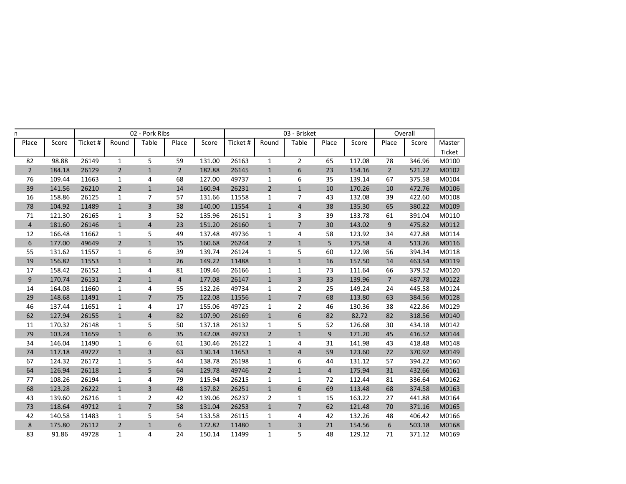| n                |        |          |                | 02 - Pork Ribs          |                |        |          |                | 03 - Brisket            |                |        |                | Overall |        |
|------------------|--------|----------|----------------|-------------------------|----------------|--------|----------|----------------|-------------------------|----------------|--------|----------------|---------|--------|
| Place            | Score  | Ticket # | Round          | Table                   | Place          | Score  | Ticket # | Round          | Table                   | Place          | Score  | Place          | Score   | Master |
|                  |        |          |                |                         |                |        |          |                |                         |                |        |                |         | Ticket |
| 82               | 98.88  | 26149    | $\mathbf{1}$   | 5                       | 59             | 131.00 | 26163    | $\mathbf{1}$   | $\overline{2}$          | 65             | 117.08 | 78             | 346.96  | M0100  |
| $2^{\circ}$      | 184.18 | 26129    | $\sqrt{2}$     | $\mathbf 1$             | $\overline{2}$ | 182.88 | 26145    | $1\,$          | 6                       | 23             | 154.16 | $\overline{2}$ | 521.22  | M0102  |
| 76               | 109.44 | 11663    | $\mathbf{1}$   | 4                       | 68             | 127.00 | 49737    | $\mathbf{1}$   | 6                       | 35             | 139.14 | 67             | 375.58  | M0104  |
| 39               | 141.56 | 26210    | $\overline{2}$ | $1\,$                   | 14             | 160.94 | 26231    | $\overline{2}$ | $\mathbf{1}$            | 10             | 170.26 | 10             | 472.76  | M0106  |
| 16               | 158.86 | 26125    | $\mathbf{1}$   | $\overline{7}$          | 57             | 131.66 | 11558    | 1              | $\overline{7}$          | 43             | 132.08 | 39             | 422.60  | M0108  |
| 78               | 104.92 | 11489    | $\mathbf{1}$   | $\mathsf{3}$            | 38             | 140.00 | 11554    | $\mathbf{1}$   | $\overline{4}$          | 38             | 135.30 | 65             | 380.22  | M0109  |
| 71               | 121.30 | 26165    | $\mathbf{1}$   | 3                       | 52             | 135.96 | 26151    | $\mathbf{1}$   | 3                       | 39             | 133.78 | 61             | 391.04  | M0110  |
| $\sqrt{4}$       | 181.60 | 26146    | $\mathbf 1$    | $\overline{4}$          | 23             | 151.20 | 26160    | $\mathbf{1}$   | $\overline{7}$          | 30             | 143.02 | 9              | 475.82  | M0112  |
| 12               | 166.48 | 11662    | $\mathbf{1}$   | 5                       | 49             | 137.48 | 49736    | 1              | 4                       | 58             | 123.92 | 34             | 427.88  | M0114  |
| $\boldsymbol{6}$ | 177.00 | 49649    | $\overline{2}$ | $\mathbf 1$             | 15             | 160.68 | 26244    | $\overline{2}$ | $\mathbf{1}$            | 5              | 175.58 | 4              | 513.26  | M0116  |
| 55               | 131.62 | 11557    | $\mathbf{1}$   | 6                       | 39             | 139.74 | 26124    | 1              | 5                       | 60             | 122.98 | 56             | 394.34  | M0118  |
| 19               | 156.82 | 11553    | $\mathbf{1}$   | $\mathbf{1}$            | 26             | 149.22 | 11488    | $\mathbf{1}$   | $\mathbf{1}$            | 16             | 157.50 | 14             | 463.54  | M0119  |
| 17               | 158.42 | 26152    | $\mathbf 1$    | 4                       | 81             | 109.46 | 26166    | $\mathbf{1}$   | $\mathbf 1$             | 73             | 111.64 | 66             | 379.52  | M0120  |
| $\mathsf 9$      | 170.74 | 26131    | $\overline{2}$ | $\mathbf{1}$            | $\overline{4}$ | 177.08 | 26147    | $\mathbf{1}$   | $\overline{\mathbf{3}}$ | 33             | 139.96 | $\overline{7}$ | 487.78  | M0122  |
| 14               | 164.08 | 11660    | $\mathbf{1}$   | 4                       | 55             | 132.26 | 49734    | 1              | $\overline{2}$          | 25             | 149.24 | 24             | 445.58  | M0124  |
| 29               | 148.68 | 11491    | $\mathbf{1}$   | $\overline{7}$          | 75             | 122.08 | 11556    | $\mathbf{1}$   | $\overline{7}$          | 68             | 113.80 | 63             | 384.56  | M0128  |
| 46               | 137.44 | 11651    | 1              | 4                       | 17             | 155.06 | 49725    | 1              | $\overline{2}$          | 46             | 130.36 | 38             | 422.86  | M0129  |
| 62               | 127.94 | 26155    | $\mathbf{1}$   | $\overline{4}$          | 82             | 107.90 | 26169    | $\mathbf{1}$   | 6                       | 82             | 82.72  | 82             | 318.56  | M0140  |
| 11               | 170.32 | 26148    | $\mathbf{1}$   | 5                       | 50             | 137.18 | 26132    | $\mathbf{1}$   | 5                       | 52             | 126.68 | 30             | 434.18  | M0142  |
| 79               | 103.24 | 11659    | $\mathbf 1$    | $\boldsymbol{6}$        | 35             | 142.08 | 49733    | $\overline{2}$ | $\mathbf 1$             | 9              | 171.20 | 45             | 416.52  | M0144  |
| 34               | 146.04 | 11490    | $\mathbf{1}$   | 6                       | 61             | 130.46 | 26122    | 1              | 4                       | 31             | 141.98 | 43             | 418.48  | M0148  |
| 74               | 117.18 | 49727    | $\mathbf{1}$   | $\overline{\mathbf{3}}$ | 63             | 130.14 | 11653    | $\mathbf{1}$   | $\overline{4}$          | 59             | 123.60 | 72             | 370.92  | M0149  |
| 67               | 124.32 | 26172    | $\mathbf{1}$   | 5                       | 44             | 138.78 | 26198    | 1              | 6                       | 44             | 131.12 | 57             | 394.22  | M0160  |
| 64               | 126.94 | 26118    | $\mathbf{1}$   | 5                       | 64             | 129.78 | 49746    | $\overline{2}$ | $\mathbf{1}$            | $\overline{4}$ | 175.94 | 31             | 432.66  | M0161  |
| 77               | 108.26 | 26194    | $\mathbf{1}$   | 4                       | 79             | 115.94 | 26215    | $\mathbf{1}$   | $\mathbf{1}$            | 72             | 112.44 | 81             | 336.64  | M0162  |
| 68               | 123.28 | 26222    | $\mathbf{1}$   | $\overline{\mathbf{3}}$ | 48             | 137.82 | 26251    | $\mathbf{1}$   | 6                       | 69             | 113.48 | 68             | 374.58  | M0163  |
| 43               | 139.60 | 26216    | $\mathbf{1}$   | $\overline{2}$          | 42             | 139.06 | 26237    | $\overline{2}$ | $\mathbf 1$             | 15             | 163.22 | 27             | 441.88  | M0164  |
| 73               | 118.64 | 49712    | $\mathbf{1}$   | $\overline{7}$          | 58             | 131.04 | 26253    | $\mathbf{1}$   | $\overline{7}$          | 62             | 121.48 | 70             | 371.16  | M0165  |
| 42               | 140.58 | 11483    | 1              | 5                       | 54             | 133.58 | 26115    | 1              | 4                       | 42             | 132.26 | 48             | 406.42  | M0166  |
| $\,8\,$          | 175.80 | 26112    | $\overline{2}$ | $\mathbf{1}$            | 6              | 172.82 | 11480    | $\mathbf{1}$   | 3                       | 21             | 154.56 | 6              | 503.18  | M0168  |
| 83               | 91.86  | 49728    | $\mathbf{1}$   | 4                       | 24             | 150.14 | 11499    | $\mathbf{1}$   | 5                       | 48             | 129.12 | 71             | 371.12  | M0169  |
|                  |        |          |                |                         |                |        |          |                |                         |                |        |                |         |        |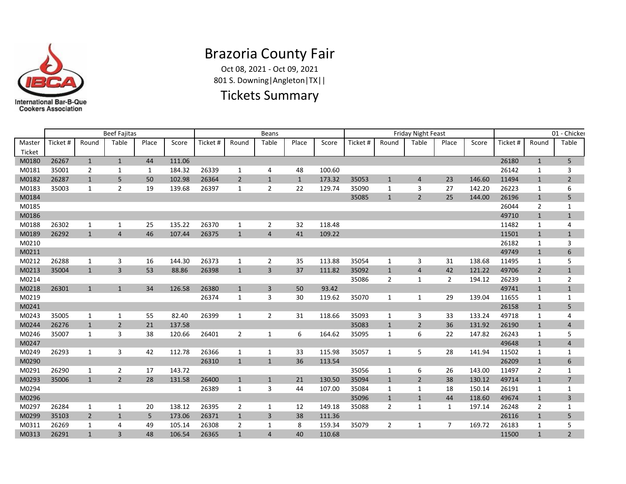

## Brazoria County Fair

Oct 08, 2021 - Oct 09, 2021 801 S. Downing|Angleton|TX||

#### Tickets Summary

|        |          |                | <b>Beef Fajitas</b> |       |        |          |                | <b>Beans</b>   |              |        |          |                | <b>Friday Night Feast</b> |                |        |          |                | 01 - Chicker   |
|--------|----------|----------------|---------------------|-------|--------|----------|----------------|----------------|--------------|--------|----------|----------------|---------------------------|----------------|--------|----------|----------------|----------------|
| Master | Ticket # | Round          | Table               | Place | Score  | Ticket # | Round          | Table          | Place        | Score  | Ticket # | Round          | Table                     | Place          | Score  | Ticket # | Round          | Table          |
| Ticket |          |                |                     |       |        |          |                |                |              |        |          |                |                           |                |        |          |                |                |
| M0180  | 26267    | $\mathbf{1}$   | $\mathbf{1}$        | 44    | 111.06 |          |                |                |              |        |          |                |                           |                |        | 26180    | $\mathbf{1}$   | 5              |
| M0181  | 35001    | $\overline{2}$ | 1                   | 1     | 184.32 | 26339    | 1              | 4              | 48           | 100.60 |          |                |                           |                |        | 26142    | 1              | 3              |
| M0182  | 26287    | $\mathbf{1}$   | 5                   | 50    | 102.98 | 26364    | $\overline{2}$ | $\mathbf{1}$   | $\mathbf{1}$ | 173.32 | 35053    | $\mathbf{1}$   | $\overline{4}$            | 23             | 146.60 | 11494    | $\mathbf{1}$   | $\overline{2}$ |
| M0183  | 35003    | $\mathbf{1}$   | $\overline{2}$      | 19    | 139.68 | 26397    | $\mathbf{1}$   | $\overline{2}$ | 22           | 129.74 | 35090    | 1              | 3                         | 27             | 142.20 | 26223    | 1              | 6              |
| M0184  |          |                |                     |       |        |          |                |                |              |        | 35085    | $\mathbf{1}$   | $\overline{2}$            | 25             | 144.00 | 26196    | $\mathbf{1}$   | 5              |
| M0185  |          |                |                     |       |        |          |                |                |              |        |          |                |                           |                |        | 26044    | $\overline{2}$ | 1              |
| M0186  |          |                |                     |       |        |          |                |                |              |        |          |                |                           |                |        | 49710    | $\mathbf{1}$   | $\mathbf{1}$   |
| M0188  | 26302    | 1              | $\mathbf{1}$        | 25    | 135.22 | 26370    | 1              | $\overline{2}$ | 32           | 118.48 |          |                |                           |                |        | 11482    | 1              | 4              |
| M0189  | 26292    | $\mathbf{1}$   | $\overline{4}$      | 46    | 107.44 | 26375    | $\mathbf{1}$   | $\overline{4}$ | 41           | 109.22 |          |                |                           |                |        | 11501    | $\mathbf{1}$   | $\mathbf{1}$   |
| M0210  |          |                |                     |       |        |          |                |                |              |        |          |                |                           |                |        | 26182    | 1              | 3              |
| M0211  |          |                |                     |       |        |          |                |                |              |        |          |                |                           |                |        | 49749    | $\mathbf{1}$   | 6              |
| M0212  | 26288    | 1              | 3                   | 16    | 144.30 | 26373    | 1              | $\overline{2}$ | 35           | 113.88 | 35054    | $\mathbf{1}$   | 3                         | 31             | 138.68 | 11495    | 1              | 5              |
| M0213  | 35004    | $\mathbf{1}$   | $\overline{3}$      | 53    | 88.86  | 26398    | $\mathbf{1}$   | $\overline{3}$ | 37           | 111.82 | 35092    | $\mathbf{1}$   | $\overline{4}$            | 42             | 121.22 | 49706    | $\overline{2}$ | $\mathbf{1}$   |
| M0214  |          |                |                     |       |        |          |                |                |              |        | 35086    | 2              | $\mathbf{1}$              | $\overline{2}$ | 194.12 | 26239    | 1              | $\overline{2}$ |
| M0218  | 26301    | $\mathbf{1}$   | $\mathbf{1}$        | 34    | 126.58 | 26380    | $\mathbf{1}$   | 3              | 50           | 93.42  |          |                |                           |                |        | 49741    | $\mathbf{1}$   | $\mathbf{1}$   |
| M0219  |          |                |                     |       |        | 26374    | 1              | 3              | 30           | 119.62 | 35070    | $\mathbf{1}$   | 1                         | 29             | 139.04 | 11655    | 1              | 1              |
| M0241  |          |                |                     |       |        |          |                |                |              |        |          |                |                           |                |        | 26158    | $\mathbf{1}$   | 5              |
| M0243  | 35005    | 1              | 1                   | 55    | 82.40  | 26399    | 1              | $\overline{2}$ | 31           | 118.66 | 35093    | $\mathbf{1}$   | 3                         | 33             | 133.24 | 49718    | 1              | 4              |
| M0244  | 26276    | $\mathbf{1}$   | $\overline{2}$      | 21    | 137.58 |          |                |                |              |        | 35083    | $\mathbf{1}$   | $\overline{2}$            | 36             | 131.92 | 26190    | $\mathbf{1}$   | $\overline{4}$ |
| M0246  | 35007    | $\mathbf{1}$   | 3                   | 38    | 120.66 | 26401    | $\overline{2}$ | 1              | 6            | 164.62 | 35095    | 1              | 6                         | 22             | 147.82 | 26243    | 1              | 5              |
| M0247  |          |                |                     |       |        |          |                |                |              |        |          |                |                           |                |        | 49648    | $\mathbf{1}$   | $\overline{4}$ |
| M0249  | 26293    | 1              | 3                   | 42    | 112.78 | 26366    | 1              | 1              | 33           | 115.98 | 35057    | $\mathbf{1}$   | 5                         | 28             | 141.94 | 11502    | 1              | $\mathbf{1}$   |
| M0290  |          |                |                     |       |        | 26310    | $\mathbf{1}$   | $\mathbf{1}$   | 36           | 113.54 |          |                |                           |                |        | 26209    | $\mathbf{1}$   | 6              |
| M0291  | 26290    | 1              | $\overline{2}$      | 17    | 143.72 |          |                |                |              |        | 35056    | $\mathbf{1}$   | 6                         | 26             | 143.00 | 11497    | 2              | $\mathbf{1}$   |
| M0293  | 35006    | $\mathbf{1}$   | $\overline{2}$      | 28    | 131.58 | 26400    | $\mathbf{1}$   | $\mathbf{1}$   | 21           | 130.50 | 35094    | $\mathbf{1}$   | $\overline{2}$            | 38             | 130.12 | 49714    | $\mathbf{1}$   | $\overline{7}$ |
| M0294  |          |                |                     |       |        | 26389    | 1              | 3              | 44           | 107.00 | 35084    | $\mathbf{1}$   | $\mathbf{1}$              | 18             | 150.14 | 26191    | 1              | 1              |
| M0296  |          |                |                     |       |        |          |                |                |              |        | 35096    | $\mathbf{1}$   | $\mathbf{1}$              | 44             | 118.60 | 49674    | $\mathbf{1}$   | 3              |
| M0297  | 26284    | 1              | 1                   | 20    | 138.12 | 26395    | 2              | 1              | 12           | 149.18 | 35088    | $\overline{2}$ | $\mathbf{1}$              | $\mathbf{1}$   | 197.14 | 26248    | 2              | 1              |
| M0299  | 35103    | $\overline{2}$ | $\mathbf{1}$        | 5     | 173.06 | 26371    | $\mathbf{1}$   | 3              | 38           | 111.36 |          |                |                           |                |        | 26116    | $\mathbf{1}$   | 5              |
| M0311  | 26269    | 1              | 4                   | 49    | 105.14 | 26308    | 2              | 1              | 8            | 159.34 | 35079    | $\overline{2}$ | 1                         | $\overline{7}$ | 169.72 | 26183    | 1              | 5              |
| M0313  | 26291    | $\mathbf{1}$   | $\overline{3}$      | 48    | 106.54 | 26365    | $\mathbf{1}$   | $\overline{4}$ | 40           | 110.68 |          |                |                           |                |        | 11500    | $\mathbf{1}$   | $\overline{2}$ |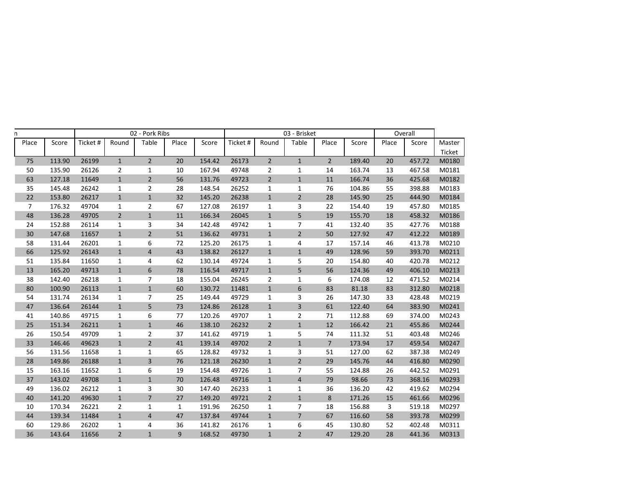| n              |        |          |                | 02 - Pork Ribs |              |        |          |                | 03 - Brisket   |                |        |       | Overall |        |
|----------------|--------|----------|----------------|----------------|--------------|--------|----------|----------------|----------------|----------------|--------|-------|---------|--------|
| Place          | Score  | Ticket # | Round          | Table          | Place        | Score  | Ticket # | Round          | Table          | Place          | Score  | Place | Score   | Master |
|                |        |          |                |                |              |        |          |                |                |                |        |       |         | Ticket |
| 75             | 113.90 | 26199    | $\mathbf{1}$   | $\overline{2}$ | 20           | 154.42 | 26173    | $2^{\circ}$    | $\mathbf{1}$   | $\overline{2}$ | 189.40 | 20    | 457.72  | M0180  |
| 50             | 135.90 | 26126    | $\overline{2}$ | $\mathbf{1}$   | 10           | 167.94 | 49748    | $\overline{2}$ | $\mathbf 1$    | 14             | 163.74 | 13    | 467.58  | M0181  |
| 63             | 127.18 | 11649    | $\mathbf 1$    | $\overline{2}$ | 56           | 131.76 | 49723    | $\overline{2}$ | $\mathbf 1$    | 11             | 166.74 | 36    | 425.68  | M0182  |
| 35             | 145.48 | 26242    | $\mathbf{1}$   | $\overline{2}$ | 28           | 148.54 | 26252    | 1              | $\mathbf{1}$   | 76             | 104.86 | 55    | 398.88  | M0183  |
| 22             | 153.80 | 26217    | $\mathbf{1}$   | $\mathbf{1}$   | 32           | 145.20 | 26238    | $\mathbf{1}$   | $\overline{2}$ | 28             | 145.90 | 25    | 444.90  | M0184  |
| $\overline{7}$ | 176.32 | 49704    | $\mathbf{1}$   | $\overline{2}$ | 67           | 127.08 | 26197    | $\mathbf{1}$   | 3              | 22             | 154.40 | 19    | 457.80  | M0185  |
| 48             | 136.28 | 49705    | $\overline{2}$ | $\mathbf 1$    | $11\,$       | 166.34 | 26045    | $\mathbf{1}$   | 5              | 19             | 155.70 | 18    | 458.32  | M0186  |
| 24             | 152.88 | 26114    | $\mathbf{1}$   | 3              | 34           | 142.48 | 49742    | 1              | 7              | 41             | 132.40 | 35    | 427.76  | M0188  |
| 30             | 147.68 | 11657    | $\mathbf{1}$   | $\mathbf 2$    | 51           | 136.62 | 49731    | $\mathbf{1}$   | $\overline{2}$ | 50             | 127.92 | 47    | 412.22  | M0189  |
| 58             | 131.44 | 26201    | $\mathbf{1}$   | 6              | 72           | 125.20 | 26175    | 1              | 4              | 17             | 157.14 | 46    | 413.78  | M0210  |
| 66             | 125.92 | 26143    | $\mathbf{1}$   | $\overline{4}$ | 43           | 138.82 | 26127    | $\mathbf{1}$   | $\mathbf{1}$   | 49             | 128.96 | 59    | 393.70  | M0211  |
| 51             | 135.84 | 11650    | $\mathbf{1}$   | 4              | 62           | 130.14 | 49724    | $\mathbf{1}$   | 5              | 20             | 154.80 | 40    | 420.78  | M0212  |
| 13             | 165.20 | 49713    | $\mathbf{1}$   | 6              | 78           | 116.54 | 49717    | $\mathbf{1}$   | 5              | 56             | 124.36 | 49    | 406.10  | M0213  |
| 38             | 142.40 | 26218    | $\mathbf{1}$   | 7              | 18           | 155.04 | 26245    | $\overline{2}$ | $\mathbf 1$    | 6              | 174.08 | 12    | 471.52  | M0214  |
| 80             | 100.90 | 26113    | $\mathbf 1$    | $\mathbf{1}$   | 60           | 130.72 | 11481    | $\mathbf{1}$   | 6              | 83             | 81.18  | 83    | 312.80  | M0218  |
| 54             | 131.74 | 26134    | $\mathbf{1}$   | 7              | 25           | 149.44 | 49729    | $\mathbf{1}$   | 3              | 26             | 147.30 | 33    | 428.48  | M0219  |
| 47             | 136.64 | 26144    | $\mathbf{1}$   | 5              | 73           | 124.86 | 26128    | $\mathbf{1}$   | 3              | 61             | 122.40 | 64    | 383.90  | M0241  |
| 41             | 140.86 | 49715    | $\mathbf{1}$   | 6              | 77           | 120.26 | 49707    | $\mathbf{1}$   | $\overline{2}$ | 71             | 112.88 | 69    | 374.00  | M0243  |
| 25             | 151.34 | 26211    | $\mathbf{1}$   | $\mathbf{1}$   | 46           | 138.10 | 26232    | $\overline{2}$ | $\mathbf{1}$   | 12             | 166.42 | 21    | 455.86  | M0244  |
| 26             | 150.54 | 49709    | $\mathbf{1}$   | 2              | 37           | 141.62 | 49719    | $\mathbf{1}$   | 5              | 74             | 111.32 | 51    | 403.48  | M0246  |
| 33             | 146.46 | 49623    | $\mathbf 1$    | $\overline{2}$ | 41           | 139.14 | 49702    | $\mathbf 2$    | $\mathbf 1$    | $\overline{7}$ | 173.94 | 17    | 459.54  | M0247  |
| 56             | 131.56 | 11658    | $\mathbf{1}$   | 1              | 65           | 128.82 | 49732    | 1              | 3              | 51             | 127.00 | 62    | 387.38  | M0249  |
| 28             | 149.86 | 26188    | $\mathbf{1}$   | 3              | 76           | 121.18 | 26230    | $\mathbf{1}$   | $\overline{2}$ | 29             | 145.76 | 44    | 416.80  | M0290  |
| 15             | 163.16 | 11652    | $\mathbf 1$    | 6              | 19           | 154.48 | 49726    | $\mathbf{1}$   | $\overline{7}$ | 55             | 124.88 | 26    | 442.52  | M0291  |
| 37             | 143.02 | 49708    | $\mathbf{1}$   | $\mathbf{1}$   | 70           | 126.48 | 49716    | $\mathbf{1}$   | $\overline{4}$ | 79             | 98.66  | 73    | 368.16  | M0293  |
| 49             | 136.02 | 26212    | $\mathbf{1}$   | 3              | 30           | 147.40 | 26233    | $\mathbf{1}$   | $\mathbf 1$    | 36             | 136.20 | 42    | 419.62  | M0294  |
| 40             | 141.20 | 49630    | $\mathbf 1$    | $\overline{7}$ | 27           | 149.20 | 49721    | $\overline{2}$ | $\mathbf 1$    | 8              | 171.26 | 15    | 461.66  | M0296  |
| 10             | 170.34 | 26221    | $\overline{2}$ | 1              | $\mathbf{1}$ | 191.96 | 26250    | 1              | 7              | 18             | 156.88 | 3     | 519.18  | M0297  |
| 44             | 139.34 | 11484    | $\mathbf{1}$   | 4              | 47           | 137.84 | 49744    | $\mathbf{1}$   | $\overline{7}$ | 67             | 116.60 | 58    | 393.78  | M0299  |
| 60             | 129.86 | 26202    | $\mathbf{1}$   | 4              | 36           | 141.82 | 26176    | 1              | 6              | 45             | 130.80 | 52    | 402.48  | M0311  |
| 36             | 143.64 | 11656    | $\overline{2}$ | $\mathbf{1}$   | 9            | 168.52 | 49730    | $\mathbf{1}$   | $\overline{2}$ | 47             | 129.20 | 28    | 441.36  | M0313  |
|                |        |          |                |                |              |        |          |                |                |                |        |       |         |        |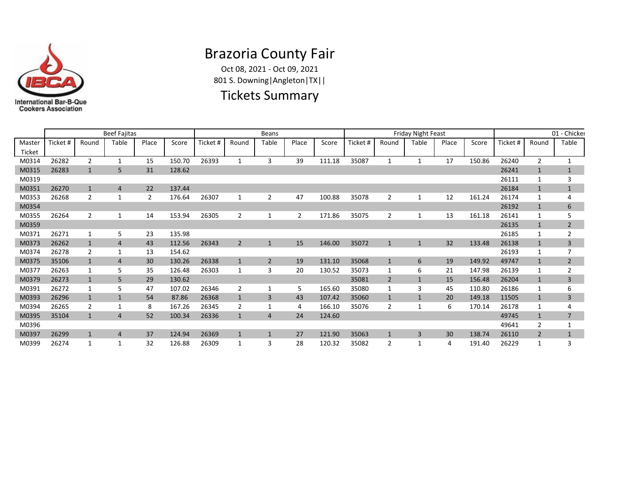

# Brazoria County Fair

Oct 08, 2021 - Oct 09, 2021 801 S. Downing|Angleton|TX||

#### Tickets Summary

|                  |          |                | <b>Beef Fajitas</b> |                |        |         |                | <b>Beans</b>   |                |        |          |                | <b>Friday Night Feast</b> |       |        |          |                | 01 - Chicker   |
|------------------|----------|----------------|---------------------|----------------|--------|---------|----------------|----------------|----------------|--------|----------|----------------|---------------------------|-------|--------|----------|----------------|----------------|
| Master<br>Ticket | Ticket # | Round          | Table               | Place          | Score  | Ticket# | Round          | Table          | Place          | Score  | Ticket # | Round          | Table                     | Place | Score  | Ticket # | Round          | Table          |
| M0314            | 26282    | $\overline{2}$ | $\mathbf{1}$        | 15             | 150.70 | 26393   | $\mathbf{1}$   | 3              | 39             | 111.18 | 35087    | $\mathbf{1}$   | $\mathbf{1}$              | 17    | 150.86 | 26240    | $\overline{2}$ | $\mathbf{1}$   |
| M0315            | 26283    | $\mathbf{1}$   | 5                   | 31             | 128.62 |         |                |                |                |        |          |                |                           |       |        | 26241    | $\mathbf{1}$   | $1\,$          |
| M0319            |          |                |                     |                |        |         |                |                |                |        |          |                |                           |       |        | 26111    | 1              | 3              |
| M0351            | 26270    | $\mathbf{1}$   | $\overline{4}$      | 22             | 137.44 |         |                |                |                |        |          |                |                           |       |        | 26184    | $\mathbf{1}$   | $\mathbf{1}$   |
| M0353            | 26268    | $\overline{2}$ |                     | $\overline{2}$ | 176.64 | 26307   |                | $\overline{2}$ | 47             | 100.88 | 35078    | 2              | 1                         | 12    | 161.24 | 26174    | 1              | 4              |
| M0354            |          |                |                     |                |        |         |                |                |                |        |          |                |                           |       |        | 26192    | $\mathbf{1}$   | 6              |
| M0355            | 26264    | $\overline{2}$ |                     | 14             | 153.94 | 26305   | $\overline{2}$ | 1              | $\overline{2}$ | 171.86 | 35075    | 2              |                           | 13    | 161.18 | 26141    | 1              | 5              |
| M0359            |          |                |                     |                |        |         |                |                |                |        |          |                |                           |       |        | 26135    | $\mathbf{1}$   | $\overline{2}$ |
| M0371            | 26271    | 1              | 5                   | 23             | 135.98 |         |                |                |                |        |          |                |                           |       |        | 26185    | 1              | $\overline{2}$ |
| M0373            | 26262    | $\mathbf{1}$   | $\overline{4}$      | 43             | 112.56 | 26343   | $\overline{2}$ | $\mathbf{1}$   | 15             | 146.00 | 35072    | $\mathbf{1}$   | $\mathbf{1}$              | 32    | 133.48 | 26138    | $\mathbf{1}$   | 3              |
| M0374            | 26278    | $\overline{2}$ | 1                   | 13             | 154.62 |         |                |                |                |        |          |                |                           |       |        | 26193    | 1              | 7              |
| M0375            | 35106    | $\mathbf{1}$   | 4                   | 30             | 130.26 | 26338   | $\mathbf{1}$   | $\overline{2}$ | 19             | 131.10 | 35068    | $\mathbf{1}$   | 6                         | 19    | 149.92 | 49747    | $\mathbf{1}$   | $\overline{2}$ |
| M0377            | 26263    | 1              | 5                   | 35             | 126.48 | 26303   | 1              | 3              | 20             | 130.52 | 35073    | 1              | 6                         | 21    | 147.98 | 26139    | 1              | $\overline{2}$ |
| M0379            | 26273    | $\mathbf{1}$   | 5                   | 29             | 130.62 |         |                |                |                |        | 35081    | $\overline{2}$ | $\mathbf{1}$              | 15    | 156.48 | 26204    | $\mathbf{1}$   | 3              |
| M0391            | 26272    | 1              | 5                   | 47             | 107.02 | 26346   | $\overline{2}$ | 1              | 5              | 165.60 | 35080    |                | 3                         | 45    | 110.80 | 26186    | 1              | 6              |
| M0393            | 26296    | $\mathbf{1}$   |                     | 54             | 87.86  | 26368   | $\mathbf{1}$   | 3              | 43             | 107.42 | 35060    |                |                           | 20    | 149.18 | 11505    | $\mathbf{1}$   | 3              |
| M0394            | 26265    | 2              |                     | 8              | 167.26 | 26345   | $\overline{2}$ |                | 4              | 166.10 | 35076    | 2              |                           | 6     | 170.14 | 26178    |                | 4              |
| M0395            | 35104    | $\mathbf{1}$   | $\Delta$            | 52             | 100.34 | 26336   | $\mathbf{1}$   | $\overline{4}$ | 24             | 124.60 |          |                |                           |       |        | 49745    | $\mathbf{1}$   | $\overline{7}$ |
| M0396            |          |                |                     |                |        |         |                |                |                |        |          |                |                           |       |        | 49641    | $\overline{2}$ | 1              |
| M0397            | 26299    | $\mathbf{1}$   | $\overline{4}$      | 37             | 124.94 | 26369   | $\mathbf{1}$   | $\mathbf{1}$   | 27             | 121.90 | 35063    |                | $\overline{3}$            | 30    | 138.74 | 26110    | 2              | $\mathbf{1}$   |
| M0399            | 26274    | 1              |                     | 32             | 126.88 | 26309   |                | 3              | 28             | 120.32 | 35082    | 2              |                           | 4     | 191.40 | 26229    |                | 3              |